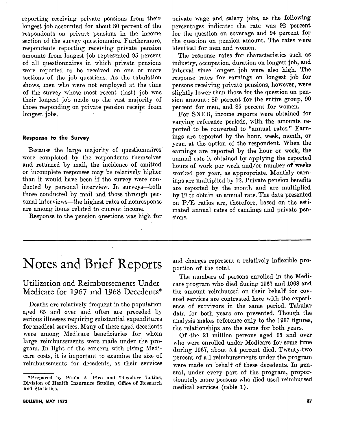reporting receiving private pensions from their longest job accounted for about 80 percent of the respondents on private pensions in the income section of the survey questionnaire. Furthermore, respondents reporting receiving private pension amounts from longest job represented 95 percent of all questionnaires in which private pensions were reported to be received on one or more sections of the job questions. As the tabulation shows, men who were not employed at the time of the survey whose most recent (last) job was their longest job made up the vast majority of those responding on private pension receipt from longest jobs.

### Response to the Survey

Because the large majority of questionnaires were completed by the respondents themselves and returned by mail, the incidence of omitted or incomplete responses may be relatively higher than it would have been if the survey were conducted by personal interview. In surveys-both those conducted by mail and those through personal interviews-the highest rates of nonresponse are among items related to current income.

Response to the pension questions was high for

private wage and salary jobs, as the following percentages indicate: the rate was 92 percent for the question on coverage and 94 percent for the question on pension amount. The rates were identical for men and women.

The response rates for characteristics such as industry, occupation, duration on longest job, and interval since longest job were also high. The response rates for earnings on longest job for persons receiving private pensions, however, were slightly lower than those for the question on pension amount: 89 percent for the entire group, 90 percent for men, and 85 percent for women.

For SNEB, income reports were obtained for varying reference periods, with the amounts reported to be converted to "annual rates." Earnings are reported by the hour, week, month, or year, at the option of the respondent. When the earnings are reported by the hour or week, the annual rate is obtained by applying the reported hours of work per week and/or number of weeks worked per year, as appropriate. Monthly earnings are multiplied by 12. Private pension benefits are reported by the month and are multiplied by 12 to obtain an annual rate. The data presented on P/E ratios are, therefore, based on the estimated annual rates of earnings and private pensions.

# Notes and Brief Reports

# Utilization and Reimbursements Under Medicare for 1967 and 1968 Decedents\*

Deaths are relatively frequent in the population aged 65 and over and often are preceded by serious illnesses requiring substantial expenditures for medical services. Many of these aged decedents were among Medicare beneficiaries for whom large reimbursements were made under the program. In light of the concern with rising Medicare costs, it is important to examine the size of reimbursements for decedents, as their services

BULLETIN, MAY 1973

and charges represent a relatively inflexible proportion of the total.

The numbers of persons enrolled in the Medicare program who died during 1967 and 1968 and the amount reimbursed on their behalf for COVered services are contrasted here with the experience of survivors in the same period. Tabular data for both years are presented. Though the analysis makes reference only to the 1967 figures, the relationships are the same for both years.

Of the 21 million persons aged 65 and over who were enrolled under Medicare for some time during 1967, about 5.4 percent died. Twenty-two percent of all reimbursements under the program were made on behalf of these decedents. In general, under every part of the program, proportionately more persons who died used reimbursed medical services (table 1).

<sup>\*</sup>Prepared by Paula A. Piro and Theodore Lutins, Division of Health Insurance Studies, Office of Research and Statistics.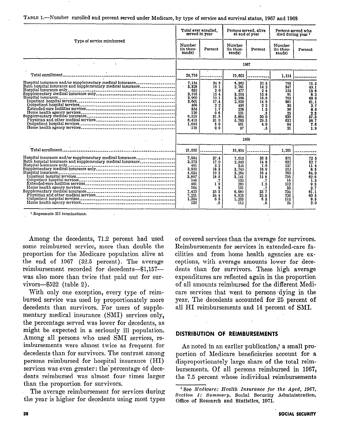|  |  | TABLE 1.—Number enrolled and percent served under Medicare, by type of service and survival status, 1967 and 1968 |  |  |  |  |
|--|--|-------------------------------------------------------------------------------------------------------------------|--|--|--|--|
|--|--|-------------------------------------------------------------------------------------------------------------------|--|--|--|--|

|                                                                                                                          | Total ever enrolled.<br>served in year                                                                                          |                                                                                                      | Persons served, alive<br>at end of year                                                                 |                                                                                                                      | Persons served who<br>died during year 1                                             |                                                                                                |
|--------------------------------------------------------------------------------------------------------------------------|---------------------------------------------------------------------------------------------------------------------------------|------------------------------------------------------------------------------------------------------|---------------------------------------------------------------------------------------------------------|----------------------------------------------------------------------------------------------------------------------|--------------------------------------------------------------------------------------|------------------------------------------------------------------------------------------------|
| Type of service reimbursed                                                                                               |                                                                                                                                 | Percent                                                                                              | Number<br>(in thou-<br>sands)                                                                           | Percent                                                                                                              | Number<br>(in thou-<br>sands)                                                        | Percent                                                                                        |
|                                                                                                                          |                                                                                                                                 |                                                                                                      |                                                                                                         | 1967                                                                                                                 |                                                                                      |                                                                                                |
|                                                                                                                          | 20.716                                                                                                                          |                                                                                                      | 19.602                                                                                                  |                                                                                                                      | 1.114                                                                                |                                                                                                |
| Hospital insurance and/or supplementary medical insurance<br>Both hospital insurance and supplementary medical insurance | 7.154<br>3,328<br>632<br>3.195<br>3.960<br>3.601<br>466<br>354<br>126<br>6.523<br>6.415<br>1.045<br>118                         | 34.5<br>16 1<br>3 <sub>0</sub><br>154<br>19.1<br>17.4<br>22<br>1.7<br>06<br>31.5<br>310<br>50<br>0.6 | 6.362<br>2,781<br>477<br>3.104<br>3.258<br>2.920<br>436<br>258<br>101<br>5.884<br>5.783<br>961<br>97    | 32.5<br>14.2<br>2 <sub>4</sub><br>15.8<br>16.6<br>14.9<br>2 <sub>2</sub><br>1.3<br>. 5<br>30.0<br>29.5<br>4.9<br>. 5 | 793<br>547<br>154<br>91<br>702<br>681<br>30<br>96<br>25<br>639<br>632<br>84<br>21    | 71.2<br>49.1<br>13.8<br>8.2<br>63 0<br>61.1<br>2.7<br>8.6<br>2.3<br>37.3<br>56.7<br>7.6<br>1.9 |
|                                                                                                                          | 1968                                                                                                                            |                                                                                                      |                                                                                                         |                                                                                                                      |                                                                                      |                                                                                                |
|                                                                                                                          | 21.055                                                                                                                          |                                                                                                      | 19.854                                                                                                  |                                                                                                                      | 1,201                                                                                |                                                                                                |
| Hospital insurance and/or supplementary medical insurance<br>Both hospital insurance and supplementary medical insurance | 7.884<br>3.573<br>461<br>3,850<br>$\ddot{\phantom{a}}$<br>4.034<br>3.897<br>148<br>401<br>164<br>7.423<br>7.251<br>1.364<br>136 | 37.4<br>17.0<br>2.2<br>18.3<br>19 2<br>18.5<br>.7<br>1.9<br>8<br>35 3<br>34 4<br>65<br>. 6           | 7.013<br>2.940<br>324<br>3.749<br>3.264<br>3.141<br>132<br>289<br>131<br>6,689<br>6.525<br>1,253<br>112 | 35 3<br>148<br>1.6<br>18.9<br>164<br>158<br>.7<br>1.5<br>.7<br>33 7<br>32.9<br>63<br>. 6                             | 871<br>632<br>137<br>102<br>769<br>756<br>16<br>112<br>33<br>734<br>726<br>112<br>24 | 72 5<br>52.7<br>11.4<br>85<br>64.0<br>62.9<br>1.3<br>9.3<br>2.7<br>61.1<br>60 5<br>9,3<br>2.0  |

Among the decedents, 71.2 percent had used sombolg the decedents, i.e. percent had used some reimbursed service, more than double the proportion for the Medicare population alive at the end of  $1967$  (32.5 percent). The average reimbursement recorded for decedents-\$1,157was also more than twice that paid out for survivors  $-$ \$522 (table 2).

With only one exception, every type of reimbursed service was used by proportionately more decedents than survivors. For users of supplementary medical insurance (SMI) services only, the percentage served was lower for decedents, as might be expected in a seriously ill population. Among all persons who used SMI services, reimbursements were almost twice as frequent for decedents than for survivors. The contrast among persons reimbursed for hospital insurance (HI) services was even greater: the percentage of decedents reimbursed was almost four times larger than the proportion for survivors.

The average reimbursement for services during the year is higher for decedents using most types

of covered services than the average for survivors. of covered services than the average for survivors Reimbursements for services in extended-care facilities and from home health agencies are exceptions, with average amounts lower for decedents than for survivors. These high average expenditures are reflected again in the proportion of all amounts reimbursed for the different Medicare services that went to persons dying in the year. The decedents accounted for 25 percent of all HI reimbursements and 14 percent of SMI.

#### **DISTRIBUTION OF REIMBURSEMENTS**

As noted in an earlier publication,<sup>1</sup> a small proportion of Medicare beneficiaries account for a disproportionately large share of the total reimbursements. Of all persons reimbursed in 1967, 'See Medicare: Health Insurance for the Aged, 1967, 1967, 1967, 1967, 1967, 1967, 1967, 1967, 1967, 1967, 1967,

<sup>&</sup>lt;sup>1</sup> See Medicare: Health Insurance for the Aged, 1967, Section 1: Summary, Social Security Administration, Office of Research and Statistics, 1971.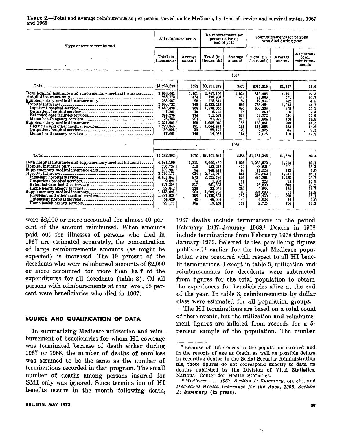| Type of service reimbursed                                                                                                                                                                                                                                                                          | All reimbursements                                                                                                                    |                                                                                 | Reimbursements for<br>persons alive at<br>end of year                                                                                 |                                                                                 | Reimbursements for persons<br>who died during year                                                                    |                                                                                      |                                                                                            |  |
|-----------------------------------------------------------------------------------------------------------------------------------------------------------------------------------------------------------------------------------------------------------------------------------------------------|---------------------------------------------------------------------------------------------------------------------------------------|---------------------------------------------------------------------------------|---------------------------------------------------------------------------------------------------------------------------------------|---------------------------------------------------------------------------------|-----------------------------------------------------------------------------------------------------------------------|--------------------------------------------------------------------------------------|--------------------------------------------------------------------------------------------|--|
| $\mathbf{v}$                                                                                                                                                                                                                                                                                        | Total (in<br>thousands)                                                                                                               | Average<br>amount                                                               | Total (in<br>thousands)                                                                                                               | Average<br>amount                                                               | Total (in<br>thousands)                                                                                               | Average<br>amount                                                                    | As percent<br>of all<br>reimburse-<br>ments                                                |  |
|                                                                                                                                                                                                                                                                                                     | 1967                                                                                                                                  |                                                                                 |                                                                                                                                       |                                                                                 |                                                                                                                       |                                                                                      |                                                                                            |  |
|                                                                                                                                                                                                                                                                                                     | \$4,238,633                                                                                                                           | \$592                                                                           | \$3.321.318                                                                                                                           | \$522                                                                           | \$917.315                                                                                                             | \$1.157                                                                              | 21.6                                                                                       |  |
| Both hospital insurance and supplementary medical insurance<br>Physician and other medical services                                                                                                                                                                                                 | 3,663.661<br>286.773<br>288.487<br>2.966,732<br>2.659.393<br>7,261<br>274.295<br>25,783<br>1,271,901<br>1,223,845<br>30.995<br>17.061 | 1.101<br>454<br>90<br>749<br>738<br>16<br>774<br>204<br>195<br>191<br>30<br>145 | 2.847.196<br>198,804<br>275.549<br>2.233,278<br>1,993,055<br>6,721<br>211.523<br>21,979<br>1,088,040<br>1.044.887<br>28,170<br>14,983 | 1.024<br>416<br>89<br>685<br>683<br>15<br>819<br>218<br>185<br>181<br>29<br>154 | 816,465<br>87,969<br>12.938<br>733.454<br>666,338<br>540<br>62.772<br>3.804<br>183,861<br>178,958<br>2,825<br>2.078   | 1.491<br>571<br>142<br>1.045<br>978<br>18<br>654<br>150<br>288<br>283<br>34<br>100   | 22.3<br>30.7<br>4.5<br>24.7<br>25.1<br>7.4<br>22.9<br>14.8<br>14.5<br>14.6<br>9.1<br>12.2  |  |
| $\mathcal{F}_{\mathcal{A}^{\mathcal{A}}}$                                                                                                                                                                                                                                                           | 1968                                                                                                                                  |                                                                                 |                                                                                                                                       |                                                                                 |                                                                                                                       |                                                                                      |                                                                                            |  |
|                                                                                                                                                                                                                                                                                                     | \$5,282,992                                                                                                                           | \$670                                                                           | \$4,101.647                                                                                                                           | \$585                                                                           | \$1,181,345                                                                                                           | \$1,356                                                                              | 22.4                                                                                       |  |
| Both hospital insurance and supplementary medical insurance<br>Hospital insurance only <b>contract the contract of the contract of the contract of the contract of the contract of the contract of the contract of the contract of the contract of the contract of the contract of the contract</b> | 4,684,100<br>236,738<br>362.937<br>3,769,172<br>3,401,047<br>2.091<br>327,393<br>38.642<br>1.513.821<br>1,437,023<br>54,620<br>22,178 | 1.311<br>513<br>94<br>934<br>873<br>14<br>817<br>236<br>204<br>198<br>40<br>164 | 3.600.430<br>153,217<br>348.414<br>2,811,910<br>2.525,786<br>1,863<br>251,303<br>32,959<br>1,289,738<br>1,220,593<br>49.692<br>19.453 | 1,225<br>472<br>93<br>861<br>804<br>14<br>870<br>252<br>193<br>187<br>40<br>174 | 1,083,670<br>83.521<br>14,523<br>957.262<br>875,261<br>228<br>76.090<br>5.683<br>224,083<br>216,430<br>4.928<br>2.725 | 1.713<br>611<br>143<br>1.244<br>1,158<br>15<br>680<br>174<br>305<br>298<br>44<br>114 | 23.1<br>35.3<br>4.0<br>25.4<br>25.7<br>10.9<br>23.2<br>14.7<br>14.8<br>15.1<br>9.0<br>12.3 |  |

TABLE 2.-Total and average reimbursements per person served under Medicare, by type of service and survival status, 1967 and 1968

were \$2,000 or more accounted for almost 40 percent of the amount reimbursed. When amounts paid out for illnesses of persons who died in 1967 are estimated separately, the concentration of large reimbursements amounts (as might be expected) is increased. The 19 percent of the decedents who were reimbursed amounts of \$2,000 or more accounted for more than half of the expenditures for all decedents (table 3). Of all persons with reimbursements at that level, 28 percent were beneficiaries who died in 1967.

## SOURCE AND QUALIFICATION OF DATA

In summarizing Medicare utilization and reimbursement of beneficiaries for whom HI coverage was terminated because of death either during 1967 or 1968, the number of deaths of enrollees was assumed to be the same as the number of terminations recorded in that program. The small number of deaths among persons insured for SMI only was ignored. Since termination of HI benefits occurs in the month following death,

1967 deaths include terminations in the period February 1967-January 1968.<sup>2</sup> Deaths in 1968 include terminations from February 1968 through January 1969. Selected tables paralleling figures published<sup>3</sup> earlier for the total Medicare population were prepared with respect to all HI benefit terminations. Except in table 3, utilization and, reimbursements for decedents were subtracted from figures for the total population to obtain the experiences for beneficiaries alive at the end of the year. In table 3, reimbursements by dollar class were estimated for all population groups.

The HI terminations are based on a total count of these events, but the utilization and reimbursement figures are inflated from records for a 5 percent sample of the population. The number

<sup>&#</sup>x27;Because of differences in the population covered and in the reports of age at death, as well as possible delays in recording deaths in the Social Security Administration file, these figures do not correspond exactly to data on deaths published by the Division of Vital Statistics, National Center for Health Statistics.

 $3 Medicare . . . 1967, Section 1: Summary, op. cit., and$ Medicare: Health Ineurance for the Aged, 1968, Section 1: Summary (in press).